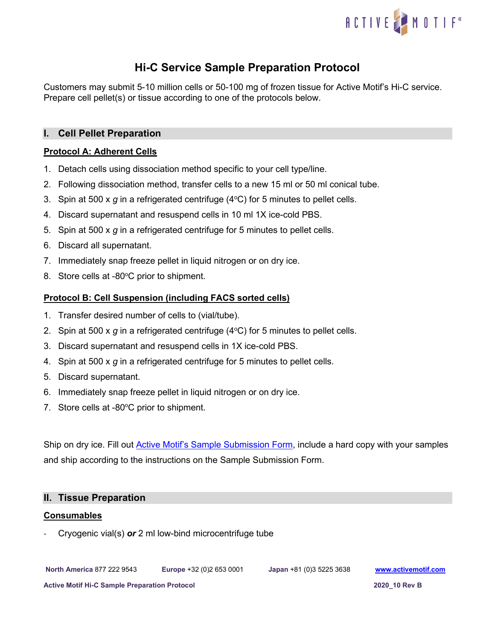

# **Hi-C Service Sample Preparation Protocol**

Customers may submit 5-10 million cells or 50-100 mg of frozen tissue for Active Motif's Hi-C service. Prepare cell pellet(s) or tissue according to one of the protocols below.

# **I. Cell Pellet Preparation**

# **Protocol A: Adherent Cells**

- 1. Detach cells using dissociation method specific to your cell type/line.
- 2. Following dissociation method, transfer cells to a new 15 ml or 50 ml conical tube.
- 3. Spin at 500 x  $g$  in a refrigerated centrifuge ( $4^{\circ}$ C) for 5 minutes to pellet cells.
- 4. Discard supernatant and resuspend cells in 10 ml 1X ice-cold PBS.
- 5. Spin at 500 x *g* in a refrigerated centrifuge for 5 minutes to pellet cells.
- 6. Discard all supernatant.
- 7. Immediately snap freeze pellet in liquid nitrogen or on dry ice.
- 8. Store cells at -80°C prior to shipment.

## **Protocol B: Cell Suspension (including FACS sorted cells)**

- 1. Transfer desired number of cells to (vial/tube).
- 2. Spin at 500 x  $g$  in a refrigerated centrifuge ( $4^{\circ}$ C) for 5 minutes to pellet cells.
- 3. Discard supernatant and resuspend cells in 1X ice-cold PBS.
- 4. Spin at 500 x *g* in a refrigerated centrifuge for 5 minutes to pellet cells.
- 5. Discard supernatant.
- 6. Immediately snap freeze pellet in liquid nitrogen or on dry ice.
- 7. Store cells at -80 $^{\circ}$ C prior to shipment.

Ship on dry ice. Fill out [Active Motif's Sample Submission Form,](https://www.activemotif.com/catalog/1317/hi-c-service) include a hard copy with your samples and ship according to the instructions on the Sample Submission Form.

## **II. Tissue Preparation**

#### **Consumables**

- Cryogenic vial(s) *or* 2 ml low-bind microcentrifuge tube